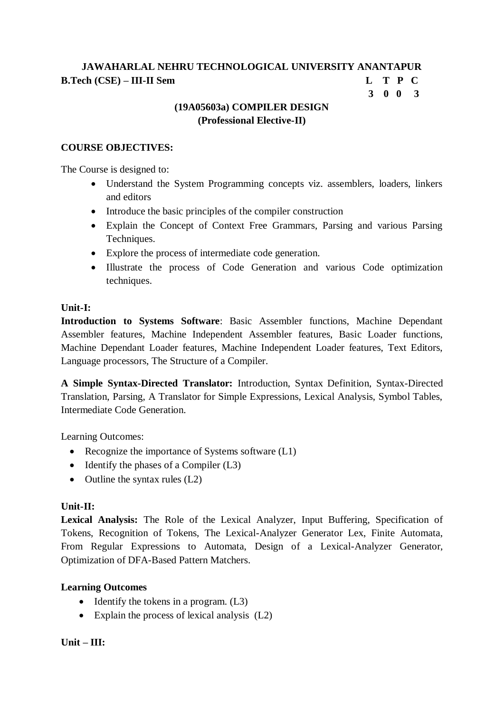# **3 0 0 3**

### **(19A05603a) COMPILER DESIGN (Professional Elective-II)**

#### **COURSE OBJECTIVES:**

The Course is designed to:

- Understand the System Programming concepts viz. assemblers, loaders, linkers and editors
- Introduce the basic principles of the compiler construction
- Explain the Concept of Context Free Grammars, Parsing and various Parsing Techniques.
- Explore the process of intermediate code generation.
- Illustrate the process of Code Generation and various Code optimization techniques.

#### **Unit-I:**

**Introduction to Systems Software**: Basic Assembler functions, Machine Dependant Assembler features, Machine Independent Assembler features, Basic Loader functions, Machine Dependant Loader features, Machine Independent Loader features, Text Editors, Language processors, The Structure of a Compiler.

**A Simple Syntax-Directed Translator:** Introduction, Syntax Definition, Syntax-Directed Translation, Parsing, A Translator for Simple Expressions, Lexical Analysis, Symbol Tables, Intermediate Code Generation.

Learning Outcomes:

- Recognize the importance of Systems software  $(L1)$
- Identify the phases of a Compiler (L3)
- Outline the syntax rules  $(L2)$

#### **Unit-II:**

**Lexical Analysis:** The Role of the Lexical Analyzer, Input Buffering, Specification of Tokens, Recognition of Tokens, The Lexical-Analyzer Generator Lex, Finite Automata, From Regular Expressions to Automata, Design of a Lexical-Analyzer Generator, Optimization of DFA-Based Pattern Matchers.

#### **Learning Outcomes**

- $\bullet$  Identify the tokens in a program. (L3)
- Explain the process of lexical analysis (L2)

#### **Unit – III:**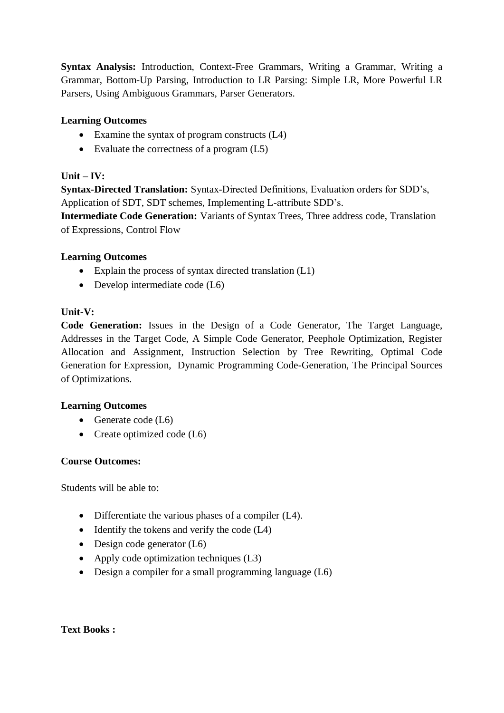**Syntax Analysis:** Introduction, Context-Free Grammars, Writing a Grammar, Writing a Grammar, Bottom-Up Parsing, Introduction to LR Parsing: Simple LR, More Powerful LR Parsers, Using Ambiguous Grammars, Parser Generators.

### **Learning Outcomes**

- Examine the syntax of program constructs (L4)
- Evaluate the correctness of a program (L5)

### **Unit – IV:**

**Syntax-Directed Translation:** Syntax-Directed Definitions, Evaluation orders for SDD's, Application of SDT, SDT schemes, Implementing L-attribute SDD's.

**Intermediate Code Generation:** Variants of Syntax Trees, Three address code, Translation of Expressions, Control Flow

#### **Learning Outcomes**

- Explain the process of syntax directed translation (L1)
- Develop intermediate code (L6)

#### **Unit-V:**

**Code Generation:** Issues in the Design of a Code Generator, The Target Language, Addresses in the Target Code, A Simple Code Generator, Peephole Optimization, Register Allocation and Assignment, Instruction Selection by Tree Rewriting, Optimal Code Generation for Expression, Dynamic Programming Code-Generation, The Principal Sources of Optimizations.

#### **Learning Outcomes**

- Generate code (L6)
- Create optimized code  $(L6)$

#### **Course Outcomes:**

Students will be able to:

- Differentiate the various phases of a compiler (L4).
- Identify the tokens and verify the code (L4)
- $\bullet$  Design code generator (L6)
- Apply code optimization techniques (L3)
- $\bullet$  Design a compiler for a small programming language (L6)

#### **Text Books :**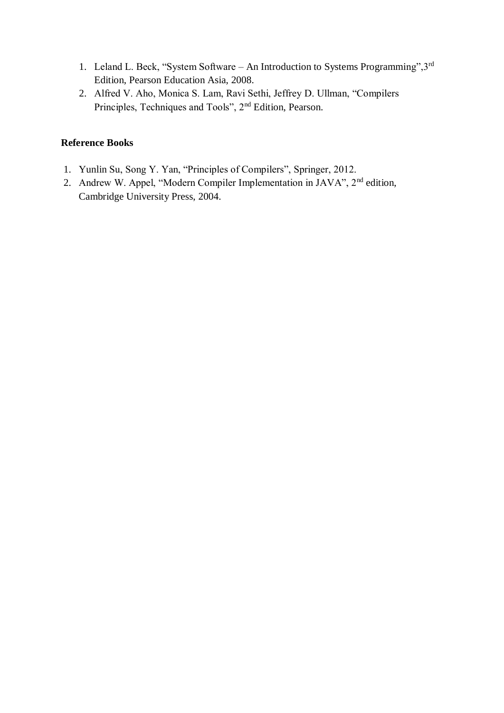- 1. Leland L. Beck, "System Software An Introduction to Systems Programming",3rd Edition, Pearson Education Asia, 2008.
- 2. Alfred V. Aho, Monica S. Lam, Ravi Sethi, Jeffrey D. Ullman, "Compilers Principles, Techniques and Tools", 2nd Edition, Pearson.

#### **Reference Books**

- 1. Yunlin Su, Song Y. Yan, "Principles of Compilers", Springer, 2012.
- 2. Andrew W. Appel, "Modern Compiler Implementation in JAVA", 2<sup>nd</sup> edition, Cambridge University Press, 2004.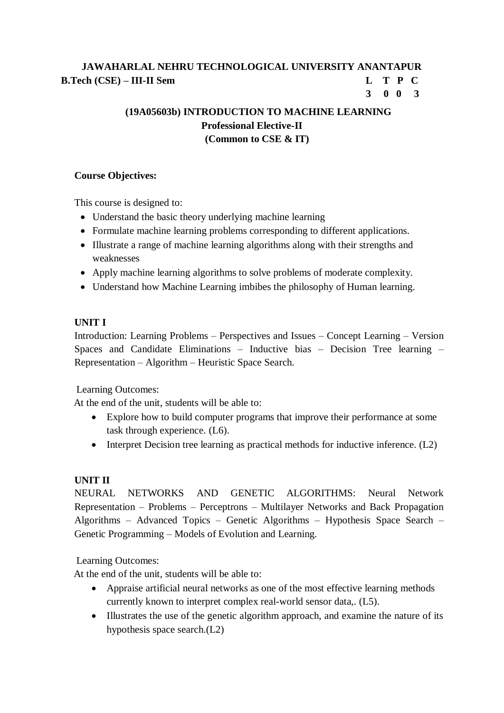## **3 0 0 3**

# **(19A05603b) INTRODUCTION TO MACHINE LEARNING Professional Elective-II (Common to CSE & IT)**

#### **Course Objectives:**

This course is designed to:

- Understand the basic theory underlying machine learning
- Formulate machine learning problems corresponding to different applications.
- Illustrate a range of machine learning algorithms along with their strengths and weaknesses
- Apply machine learning algorithms to solve problems of moderate complexity.
- Understand how Machine Learning imbibes the philosophy of Human learning.

### **UNIT I**

Introduction: Learning Problems – Perspectives and Issues – Concept Learning – Version Spaces and Candidate Eliminations – Inductive bias – Decision Tree learning – Representation – Algorithm – Heuristic Space Search.

Learning Outcomes:

At the end of the unit, students will be able to:

- Explore how to build computer programs that improve their performance at some task through experience. (L6).
- Interpret Decision tree learning as practical methods for inductive inference. (L2)

## **UNIT II**

NEURAL NETWORKS AND GENETIC ALGORITHMS: Neural Network Representation – Problems – Perceptrons – Multilayer Networks and Back Propagation Algorithms – Advanced Topics – Genetic Algorithms – Hypothesis Space Search – Genetic Programming – Models of Evolution and Learning.

Learning Outcomes:

At the end of the unit, students will be able to:

- Appraise artificial neural networks as one of the most effective learning methods currently known to interpret complex real-world sensor data,. (L5).
- Illustrates the use of the genetic algorithm approach, and examine the nature of its hypothesis space search.(L2)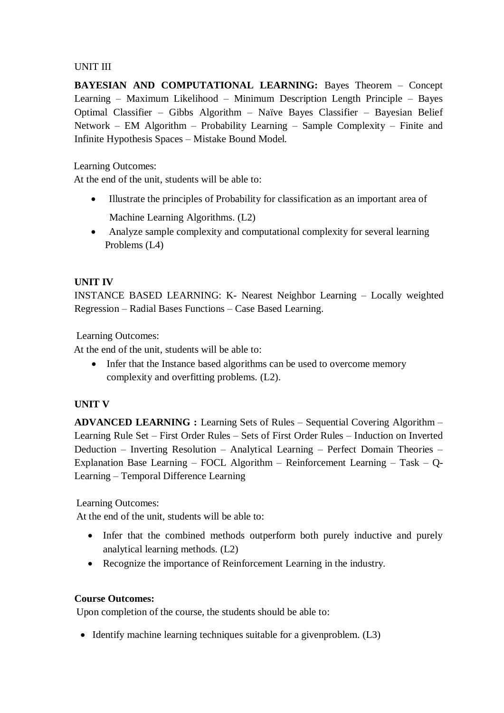### UNIT III

**BAYESIAN AND COMPUTATIONAL LEARNING:** Bayes Theorem – Concept Learning – Maximum Likelihood – Minimum Description Length Principle – Bayes Optimal Classifier – Gibbs Algorithm – Naïve Bayes Classifier – Bayesian Belief Network – EM Algorithm – Probability Learning – Sample Complexity – Finite and Infinite Hypothesis Spaces – Mistake Bound Model.

Learning Outcomes:

At the end of the unit, students will be able to:

- Illustrate the principles of Probability for classification as an important area of Machine Learning Algorithms. (L2)
- Analyze sample complexity and computational complexity for several learning Problems (L4)

### **UNIT IV**

INSTANCE BASED LEARNING: K- Nearest Neighbor Learning – Locally weighted Regression – Radial Bases Functions – Case Based Learning.

Learning Outcomes:

At the end of the unit, students will be able to:

• Infer that the Instance based algorithms can be used to overcome memory complexity and overfitting problems. (L2).

#### **UNIT V**

**ADVANCED LEARNING :** Learning Sets of Rules – Sequential Covering Algorithm – Learning Rule Set – First Order Rules – Sets of First Order Rules – Induction on Inverted Deduction – Inverting Resolution – Analytical Learning – Perfect Domain Theories – Explanation Base Learning – FOCL Algorithm – Reinforcement Learning – Task – Q-Learning – Temporal Difference Learning

Learning Outcomes:

At the end of the unit, students will be able to:

- Infer that the combined methods outperform both purely inductive and purely analytical learning methods. (L2)
- Recognize the importance of Reinforcement Learning in the industry.

#### **Course Outcomes:**

Upon completion of the course, the students should be able to:

 $\bullet$  Identify machine learning techniques suitable for a given problem. (L3)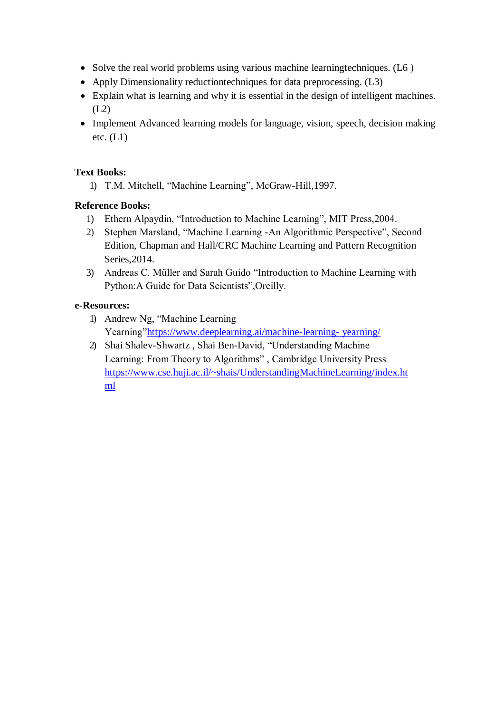- Solve the real world problems using various machine learningtechniques. (L6)
- Apply Dimensionality reductiontechniques for data preprocessing. (L3)
- Explain what is learning and why it is essential in the design of intelligent machines.  $(L2)$
- Implement Advanced learning models for language, vision, speech, decision making etc.  $(L1)$

#### **Text Books:**

1) T.M. Mitchell, "Machine Learning", McGraw-Hill,1997.

### **Reference Books:**

- 1) Ethern Alpaydin, "Introduction to Machine Learning", MIT Press,2004.
- 2) Stephen Marsland, "Machine Learning -An Algorithmic Perspective", Second Edition, Chapman and Hall/CRC Machine Learning and Pattern Recognition Series,2014.
- 3) Andreas C. Müller and Sarah Guido "Introduction to Machine Learning with Python:A Guide for Data Scientists",Oreilly.

### **e-Resources:**

- 1) Andrew Ng, "Machine Learning Yearning["https://www.deeplearning.ai/machine-learning-](https://www.deeplearning.ai/machine-learning-yearning/) [yearning/](https://www.deeplearning.ai/machine-learning-yearning/)
- 2) Shai Shalev-Shwartz , Shai Ben-David, "Understanding Machine Learning: From Theory to Algorithms" , Cambridge University Pres[s](https://www.cse.huji.ac.il/~shais/UnderstandingMachineLearning/index.html) [https://www.cse.huji.ac.il/~shais/UnderstandingMachineLearning/index.ht](https://www.cse.huji.ac.il/~shais/UnderstandingMachineLearning/index.html) [ml](https://www.cse.huji.ac.il/~shais/UnderstandingMachineLearning/index.html)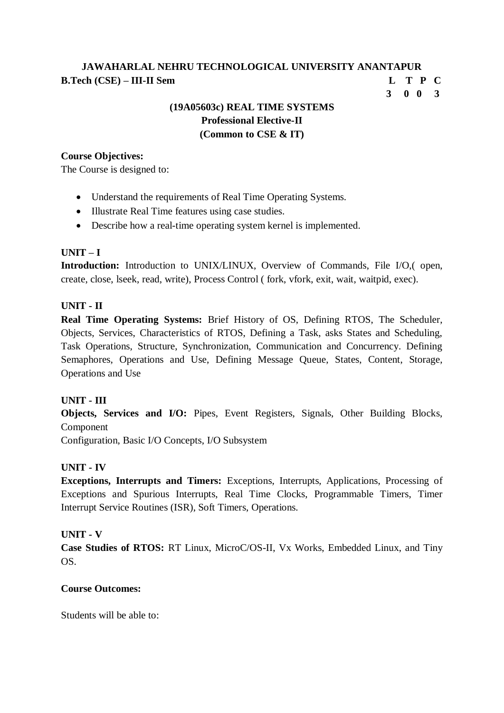**3 0 0 3**

## **(19A05603c) REAL TIME SYSTEMS Professional Elective-II (Common to CSE & IT)**

#### **Course Objectives:**

The Course is designed to:

- Understand the requirements of Real Time Operating Systems.
- Illustrate Real Time features using case studies.
- Describe how a real-time operating system kernel is implemented.

#### **UNIT – I**

**Introduction:** Introduction to UNIX/LINUX, Overview of Commands, File I/O,( open, create, close, lseek, read, write), Process Control ( fork, vfork, exit, wait, waitpid, exec).

#### **UNIT - II**

**Real Time Operating Systems:** Brief History of OS, Defining RTOS, The Scheduler, Objects, Services, Characteristics of RTOS, Defining a Task, asks States and Scheduling, Task Operations, Structure, Synchronization, Communication and Concurrency. Defining Semaphores, Operations and Use, Defining Message Queue, States, Content, Storage, Operations and Use

#### **UNIT - III**

**Objects, Services and I/O:** Pipes, Event Registers, Signals, Other Building Blocks, Component

Configuration, Basic I/O Concepts, I/O Subsystem

#### **UNIT - IV**

**Exceptions, Interrupts and Timers:** Exceptions, Interrupts, Applications, Processing of Exceptions and Spurious Interrupts, Real Time Clocks, Programmable Timers, Timer Interrupt Service Routines (ISR), Soft Timers, Operations.

#### **UNIT - V**

**Case Studies of RTOS:** RT Linux, MicroC/OS-II, Vx Works, Embedded Linux, and Tiny OS.

#### **Course Outcomes:**

Students will be able to: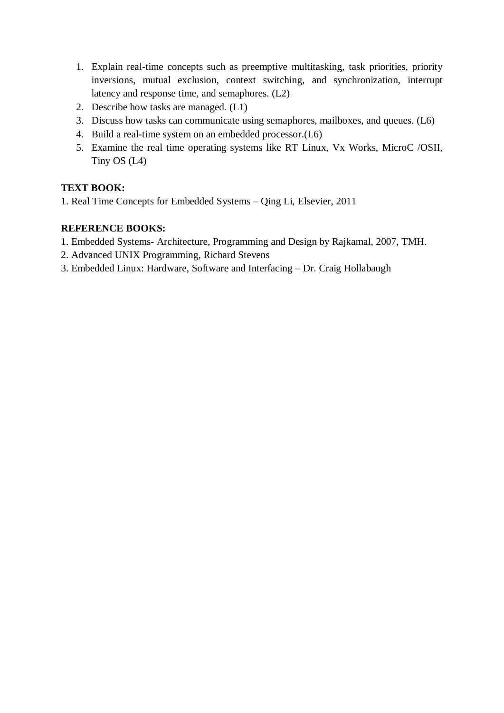- 1. Explain real-time concepts such as preemptive multitasking, task priorities, priority inversions, mutual exclusion, context switching, and synchronization, interrupt latency and response time, and semaphores. (L2)
- 2. Describe how tasks are managed. (L1)
- 3. Discuss how tasks can communicate using semaphores, mailboxes, and queues. (L6)
- 4. Build a real-time system on an embedded processor.(L6)
- 5. Examine the real time operating systems like RT Linux, Vx Works, MicroC /OSII, Tiny OS (L4)

### **TEXT BOOK:**

1. Real Time Concepts for Embedded Systems – Qing Li, Elsevier, 2011

#### **REFERENCE BOOKS:**

- 1. Embedded Systems- Architecture, Programming and Design by Rajkamal, 2007, TMH.
- 2. Advanced UNIX Programming, Richard Stevens
- 3. Embedded Linux: Hardware, Software and Interfacing Dr. Craig Hollabaugh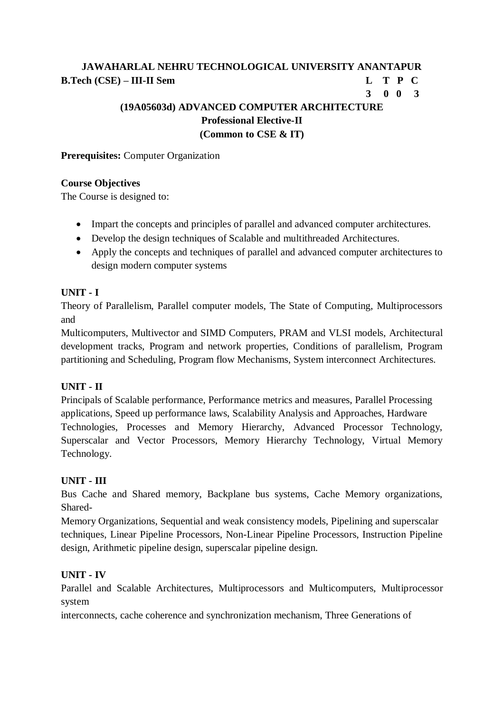# **3 0 0 3**

# **(19A05603d) ADVANCED COMPUTER ARCHITECTURE Professional Elective-II (Common to CSE & IT)**

**Prerequisites:** Computer Organization

#### **Course Objectives**

The Course is designed to:

- Impart the concepts and principles of parallel and advanced computer architectures.
- Develop the design techniques of Scalable and multithreaded Architectures.
- Apply the concepts and techniques of parallel and advanced computer architectures to design modern computer systems

### **UNIT - I**

Theory of Parallelism, Parallel computer models, The State of Computing, Multiprocessors and

Multicomputers, Multivector and SIMD Computers, PRAM and VLSI models, Architectural development tracks, Program and network properties, Conditions of parallelism, Program partitioning and Scheduling, Program flow Mechanisms, System interconnect Architectures.

## **UNIT - II**

Principals of Scalable performance, Performance metrics and measures, Parallel Processing applications, Speed up performance laws, Scalability Analysis and Approaches, Hardware Technologies, Processes and Memory Hierarchy, Advanced Processor Technology, Superscalar and Vector Processors, Memory Hierarchy Technology, Virtual Memory Technology.

#### **UNIT - III**

Bus Cache and Shared memory, Backplane bus systems, Cache Memory organizations, Shared-

Memory Organizations, Sequential and weak consistency models, Pipelining and superscalar techniques, Linear Pipeline Processors, Non-Linear Pipeline Processors, Instruction Pipeline design, Arithmetic pipeline design, superscalar pipeline design.

#### **UNIT - IV**

Parallel and Scalable Architectures, Multiprocessors and Multicomputers, Multiprocessor system

interconnects, cache coherence and synchronization mechanism, Three Generations of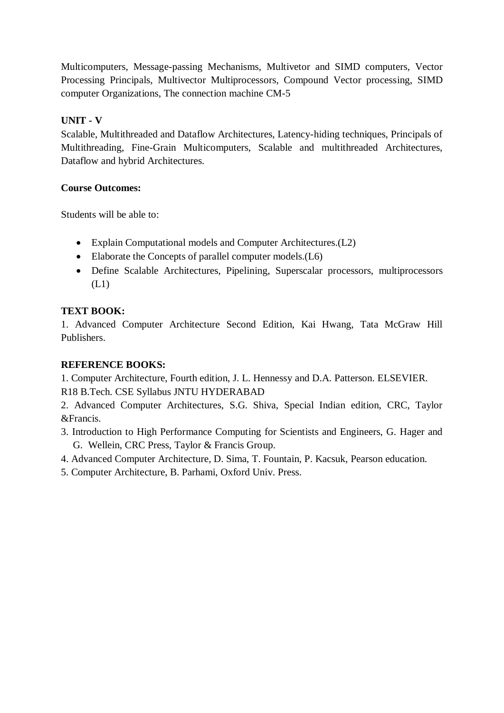Multicomputers, Message-passing Mechanisms, Multivetor and SIMD computers, Vector Processing Principals, Multivector Multiprocessors, Compound Vector processing, SIMD computer Organizations, The connection machine CM-5

# **UNIT - V**

Scalable, Multithreaded and Dataflow Architectures, Latency-hiding techniques, Principals of Multithreading, Fine-Grain Multicomputers, Scalable and multithreaded Architectures, Dataflow and hybrid Architectures.

## **Course Outcomes:**

Students will be able to:

- Explain Computational models and Computer Architectures.(L2)
- Elaborate the Concepts of parallel computer models.(L6)
- Define Scalable Architectures, Pipelining, Superscalar processors, multiprocessors (L1)

# **TEXT BOOK:**

1. Advanced Computer Architecture Second Edition, Kai Hwang, Tata McGraw Hill Publishers.

## **REFERENCE BOOKS:**

1. Computer Architecture, Fourth edition, J. L. Hennessy and D.A. Patterson. ELSEVIER. R18 B.Tech. CSE Syllabus JNTU HYDERABAD

2. Advanced Computer Architectures, S.G. Shiva, Special Indian edition, CRC, Taylor &Francis.

3. Introduction to High Performance Computing for Scientists and Engineers, G. Hager and G. Wellein, CRC Press, Taylor & Francis Group.

4. Advanced Computer Architecture, D. Sima, T. Fountain, P. Kacsuk, Pearson education.

5. Computer Architecture, B. Parhami, Oxford Univ. Press.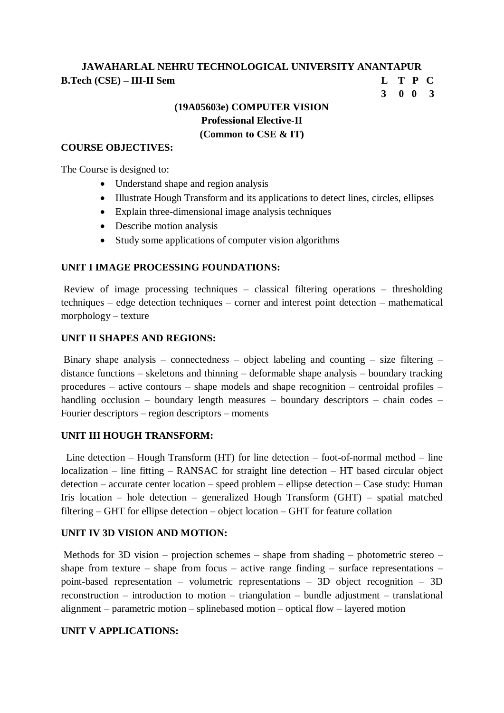**3 0 0 3**

# **(19A05603e) COMPUTER VISION Professional Elective-II (Common to CSE & IT)**

#### **COURSE OBJECTIVES:**

The Course is designed to:

- Understand shape and region analysis
- Illustrate Hough Transform and its applications to detect lines, circles, ellipses
- Explain three-dimensional image analysis techniques
- Describe motion analysis
- Study some applications of computer vision algorithms

#### **UNIT I IMAGE PROCESSING FOUNDATIONS:**

Review of image processing techniques – classical filtering operations – thresholding techniques – edge detection techniques – corner and interest point detection – mathematical morphology – texture

#### **UNIT II SHAPES AND REGIONS:**

Binary shape analysis – connectedness – object labeling and counting – size filtering – distance functions – skeletons and thinning – deformable shape analysis – boundary tracking procedures – active contours – shape models and shape recognition – centroidal profiles – handling occlusion – boundary length measures – boundary descriptors – chain codes – Fourier descriptors – region descriptors – moments

#### **UNIT III HOUGH TRANSFORM:**

 Line detection – Hough Transform (HT) for line detection – foot-of-normal method – line localization – line fitting – RANSAC for straight line detection – HT based circular object detection – accurate center location – speed problem – ellipse detection – Case study: Human Iris location – hole detection – generalized Hough Transform (GHT) – spatial matched filtering – GHT for ellipse detection – object location – GHT for feature collation

#### **UNIT IV 3D VISION AND MOTION:**

Methods for 3D vision – projection schemes – shape from shading – photometric stereo – shape from texture – shape from focus – active range finding – surface representations – point-based representation – volumetric representations – 3D object recognition – 3D reconstruction – introduction to motion – triangulation – bundle adjustment – translational alignment – parametric motion – splinebased motion – optical flow – layered motion

#### **UNIT V APPLICATIONS:**